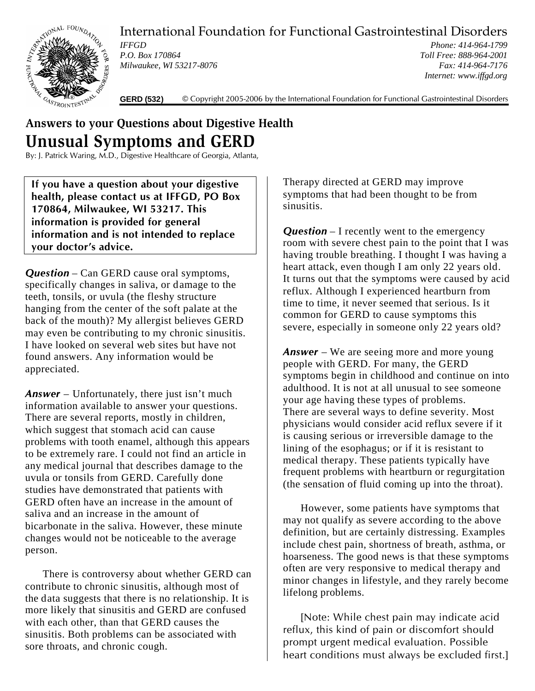International Foundation for Functional Gastrointestinal Disorders



*IFFGD P.O. Box 170864 Milwaukee, WI 53217-8076*

*Phone: 414-964-1799 Toll Free: 888-964-2001 Fax: 414-964-7176 Internet: www.iffgd.org*

**GERD (532)** © Copyright 2005-2006 by the International Foundation for Functional Gastrointestinal Disorders

## **Answers to your Questions about Digestive Health Unusual Symptoms and GERD**

By: J. Patrick Waring, M.D., Digestive Healthcare of Georgia, Atlanta,

**If you have a question about your digestive health, please contact us at IFFGD, PO Box 170864, Milwaukee, WI 53217. This information is provided for general information and is not intended to replace your doctor's advice.**

*Question* – Can GERD cause oral symptoms, specifically changes in saliva, or damage to the teeth, tonsils, or uvula (the fleshy structure hanging from the center of the soft palate at the back of the mouth)? My allergist believes GERD may even be contributing to my chronic sinusitis. I have looked on several web sites but have not found answers. Any information would be appreciated.

*Answer* – Unfortunately, there just isn't much information available to answer your questions. There are several reports, mostly in children, which suggest that stomach acid can cause problems with tooth enamel, although this appears to be extremely rare. I could not find an article in any medical journal that describes damage to the uvula or tonsils from GERD. Carefully done studies have demonstrated that patients with GERD often have an increase in the amount of saliva and an increase in the amount of bicarbonate in the saliva. However, these minute changes would not be noticeable to the average person.

There is controversy about whether GERD can contribute to chronic sinusitis, although most of the data suggests that there is no relationship. It is more likely that sinusitis and GERD are confused with each other, than that GERD causes the sinusitis. Both problems can be associated with sore throats, and chronic cough.

Therapy directed at GERD may improve symptoms that had been thought to be from sinusitis.

*Question* – I recently went to the emergency room with severe chest pain to the point that I was having trouble breathing. I thought I was having a heart attack, even though I am only 22 years old. It turns out that the symptoms were caused by acid reflux. Although I experienced heartburn from time to time, it never seemed that serious. Is it common for GERD to cause symptoms this severe, especially in someone only 22 years old?

*Answer* – We are seeing more and more young people with GERD. For many, the GERD symptoms begin in childhood and continue on into adulthood. It is not at all unusual to see someone your age having these types of problems. There are several ways to define severity. Most physicians would consider acid reflux severe if it is causing serious or irreversible damage to the lining of the esophagus; or if it is resistant to medical therapy. These patients typically have frequent problems with heartburn or regurgitation (the sensation of fluid coming up into the throat).

However, some patients have symptoms that may not qualify as severe according to the above definition, but are certainly distressing. Examples include chest pain, shortness of breath, asthma, or hoarseness. The good news is that these symptoms often are very responsive to medical therapy and minor changes in lifestyle, and they rarely become lifelong problems.

[Note: While chest pain may indicate acid reflux, this kind of pain or discomfort should prompt urgent medical evaluation. Possible heart conditions must always be excluded first.]